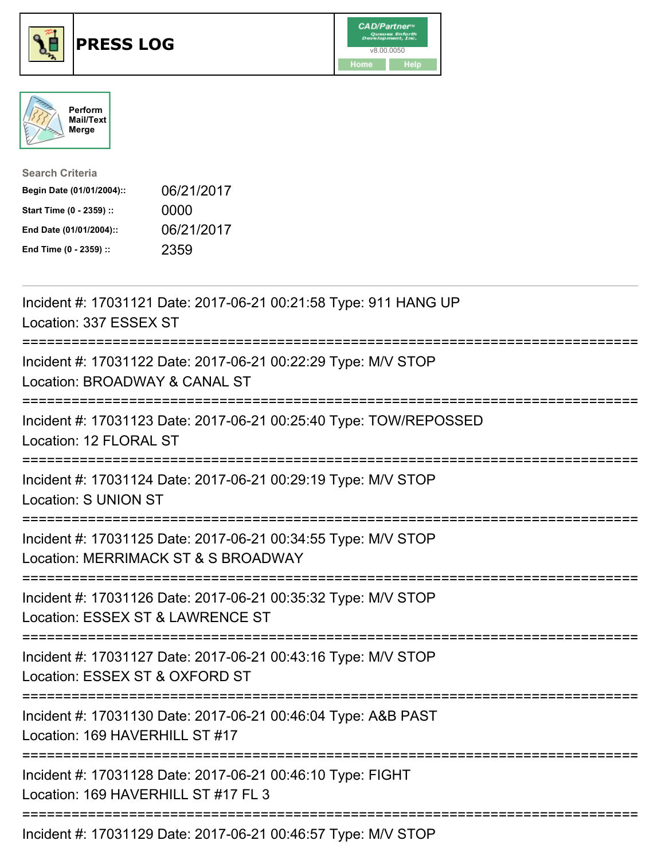





| <b>Search Criteria</b>    |            |
|---------------------------|------------|
| Begin Date (01/01/2004):: | 06/21/2017 |
| Start Time (0 - 2359) ::  | 0000       |
| End Date (01/01/2004)::   | 06/21/2017 |
| End Time (0 - 2359) ::    | 2359       |

| Incident #: 17031121 Date: 2017-06-21 00:21:58 Type: 911 HANG UP<br>Location: 337 ESSEX ST                                        |
|-----------------------------------------------------------------------------------------------------------------------------------|
| Incident #: 17031122 Date: 2017-06-21 00:22:29 Type: M/V STOP<br>Location: BROADWAY & CANAL ST                                    |
| Incident #: 17031123 Date: 2017-06-21 00:25:40 Type: TOW/REPOSSED<br>Location: 12 FLORAL ST<br>--------------                     |
| Incident #: 17031124 Date: 2017-06-21 00:29:19 Type: M/V STOP<br>Location: S UNION ST                                             |
| Incident #: 17031125 Date: 2017-06-21 00:34:55 Type: M/V STOP<br>Location: MERRIMACK ST & S BROADWAY<br>=======================   |
| Incident #: 17031126 Date: 2017-06-21 00:35:32 Type: M/V STOP<br>Location: ESSEX ST & LAWRENCE ST<br>;=========================== |
| Incident #: 17031127 Date: 2017-06-21 00:43:16 Type: M/V STOP<br>Location: ESSEX ST & OXFORD ST<br>-------------------------      |
| Incident #: 17031130 Date: 2017-06-21 00:46:04 Type: A&B PAST<br>Location: 169 HAVERHILL ST #17<br>-----------------------        |
| Incident #: 17031128 Date: 2017-06-21 00:46:10 Type: FIGHT<br>Location: 169 HAVERHILL ST #17 FL 3                                 |
| Incident #: 17031129 Date: 2017-06-21 00:46:57 Type: M/V STOP                                                                     |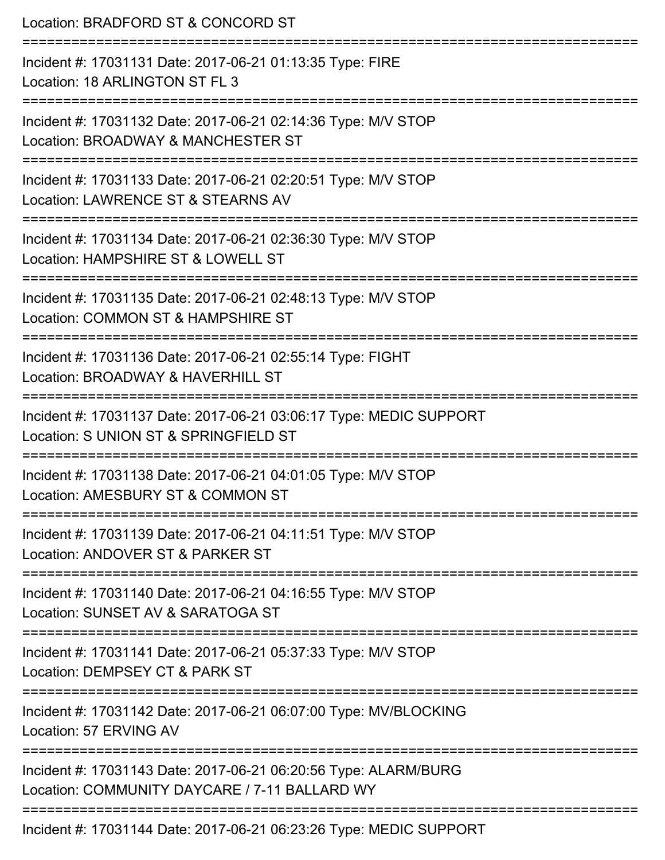| Location: BRADFORD ST & CONCORD ST<br>======================                                                                 |
|------------------------------------------------------------------------------------------------------------------------------|
| Incident #: 17031131 Date: 2017-06-21 01:13:35 Type: FIRE<br>Location: 18 ARLINGTON ST FL 3                                  |
| Incident #: 17031132 Date: 2017-06-21 02:14:36 Type: M/V STOP<br>Location: BROADWAY & MANCHESTER ST                          |
| Incident #: 17031133 Date: 2017-06-21 02:20:51 Type: M/V STOP<br>Location: LAWRENCE ST & STEARNS AV                          |
| Incident #: 17031134 Date: 2017-06-21 02:36:30 Type: M/V STOP<br>Location: HAMPSHIRE ST & LOWELL ST                          |
| Incident #: 17031135 Date: 2017-06-21 02:48:13 Type: M/V STOP<br>Location: COMMON ST & HAMPSHIRE ST<br>:==================== |
| Incident #: 17031136 Date: 2017-06-21 02:55:14 Type: FIGHT<br>Location: BROADWAY & HAVERHILL ST                              |
| Incident #: 17031137 Date: 2017-06-21 03:06:17 Type: MEDIC SUPPORT<br>Location: S UNION ST & SPRINGFIELD ST                  |
| Incident #: 17031138 Date: 2017-06-21 04:01:05 Type: M/V STOP<br>Location: AMESBURY ST & COMMON ST                           |
| Incident #: 17031139 Date: 2017-06-21 04:11:51 Type: M/V STOP<br>Location: ANDOVER ST & PARKER ST                            |
| Incident #: 17031140 Date: 2017-06-21 04:16:55 Type: M/V STOP<br>Location: SUNSET AV & SARATOGA ST                           |
| Incident #: 17031141 Date: 2017-06-21 05:37:33 Type: M/V STOP<br>Location: DEMPSEY CT & PARK ST                              |
| Incident #: 17031142 Date: 2017-06-21 06:07:00 Type: MV/BLOCKING<br>Location: 57 ERVING AV                                   |
| Incident #: 17031143 Date: 2017-06-21 06:20:56 Type: ALARM/BURG<br>Location: COMMUNITY DAYCARE / 7-11 BALLARD WY             |
| Incident #: 17031144 Date: 2017-06-21 06:23:26 Type: MEDIC SUPPORT                                                           |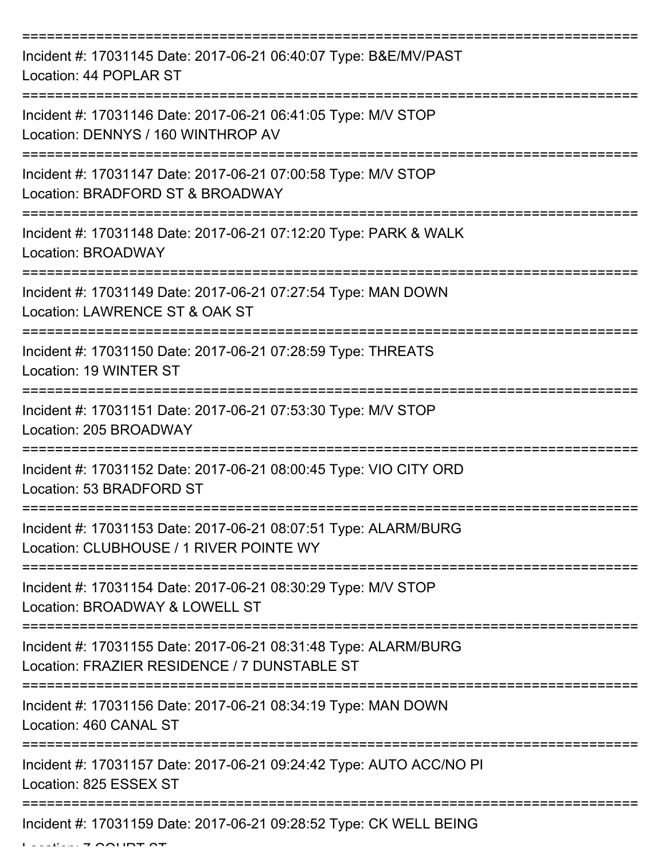| Incident #: 17031145 Date: 2017-06-21 06:40:07 Type: B&E/MV/PAST<br>Location: 44 POPLAR ST                      |
|-----------------------------------------------------------------------------------------------------------------|
| Incident #: 17031146 Date: 2017-06-21 06:41:05 Type: M/V STOP<br>Location: DENNYS / 160 WINTHROP AV             |
| Incident #: 17031147 Date: 2017-06-21 07:00:58 Type: M/V STOP<br>Location: BRADFORD ST & BROADWAY               |
| Incident #: 17031148 Date: 2017-06-21 07:12:20 Type: PARK & WALK<br>Location: BROADWAY                          |
| -----------<br>Incident #: 17031149 Date: 2017-06-21 07:27:54 Type: MAN DOWN<br>Location: LAWRENCE ST & OAK ST  |
| Incident #: 17031150 Date: 2017-06-21 07:28:59 Type: THREATS<br>Location: 19 WINTER ST                          |
| Incident #: 17031151 Date: 2017-06-21 07:53:30 Type: M/V STOP<br>Location: 205 BROADWAY                         |
| Incident #: 17031152 Date: 2017-06-21 08:00:45 Type: VIO CITY ORD<br>Location: 53 BRADFORD ST                   |
| Incident #: 17031153 Date: 2017-06-21 08:07:51 Type: ALARM/BURG<br>Location: CLUBHOUSE / 1 RIVER POINTE WY      |
| Incident #: 17031154 Date: 2017-06-21 08:30:29 Type: M/V STOP<br>Location: BROADWAY & LOWELL ST                 |
| Incident #: 17031155 Date: 2017-06-21 08:31:48 Type: ALARM/BURG<br>Location: FRAZIER RESIDENCE / 7 DUNSTABLE ST |
| Incident #: 17031156 Date: 2017-06-21 08:34:19 Type: MAN DOWN<br>Location: 460 CANAL ST                         |
| Incident #: 17031157 Date: 2017-06-21 09:24:42 Type: AUTO ACC/NO PI<br>Location: 825 ESSEX ST                   |
| ---------------<br>Incident #: 17031159 Date: 2017-06-21 09:28:52 Type: CK WELL BEING                           |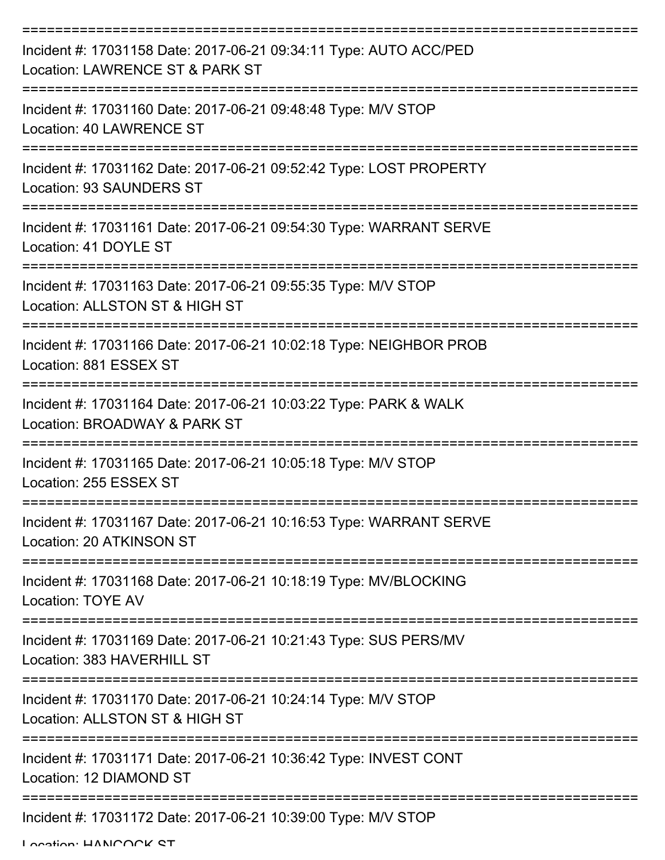| Incident #: 17031158 Date: 2017-06-21 09:34:11 Type: AUTO ACC/PED<br>Location: LAWRENCE ST & PARK ST  |
|-------------------------------------------------------------------------------------------------------|
| Incident #: 17031160 Date: 2017-06-21 09:48:48 Type: M/V STOP<br>Location: 40 LAWRENCE ST             |
| Incident #: 17031162 Date: 2017-06-21 09:52:42 Type: LOST PROPERTY<br><b>Location: 93 SAUNDERS ST</b> |
| Incident #: 17031161 Date: 2017-06-21 09:54:30 Type: WARRANT SERVE<br>Location: 41 DOYLE ST           |
| Incident #: 17031163 Date: 2017-06-21 09:55:35 Type: M/V STOP<br>Location: ALLSTON ST & HIGH ST       |
| Incident #: 17031166 Date: 2017-06-21 10:02:18 Type: NEIGHBOR PROB<br>Location: 881 ESSEX ST          |
| Incident #: 17031164 Date: 2017-06-21 10:03:22 Type: PARK & WALK<br>Location: BROADWAY & PARK ST      |
| Incident #: 17031165 Date: 2017-06-21 10:05:18 Type: M/V STOP<br>Location: 255 ESSEX ST               |
| Incident #: 17031167 Date: 2017-06-21 10:16:53 Type: WARRANT SERVE<br>Location: 20 ATKINSON ST        |
| Incident #: 17031168 Date: 2017-06-21 10:18:19 Type: MV/BLOCKING<br><b>Location: TOYE AV</b>          |
| Incident #: 17031169 Date: 2017-06-21 10:21:43 Type: SUS PERS/MV<br>Location: 383 HAVERHILL ST        |
| Incident #: 17031170 Date: 2017-06-21 10:24:14 Type: M/V STOP<br>Location: ALLSTON ST & HIGH ST       |
| Incident #: 17031171 Date: 2017-06-21 10:36:42 Type: INVEST CONT<br>Location: 12 DIAMOND ST           |
| Incident #: 17031172 Date: 2017-06-21 10:39:00 Type: M/V STOP                                         |

Location: HANICOCK ST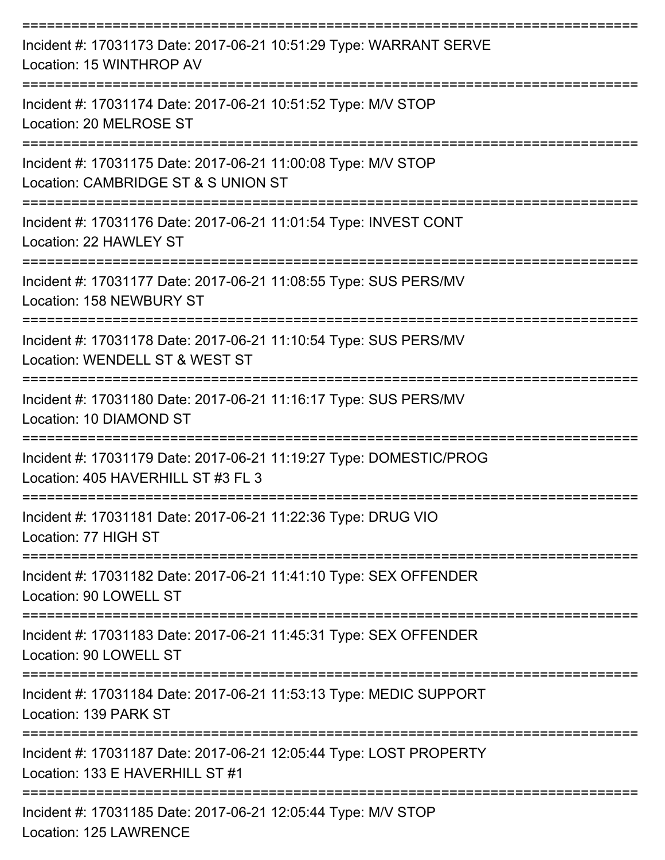| Incident #: 17031173 Date: 2017-06-21 10:51:29 Type: WARRANT SERVE<br>Location: 15 WINTHROP AV           |
|----------------------------------------------------------------------------------------------------------|
| Incident #: 17031174 Date: 2017-06-21 10:51:52 Type: M/V STOP<br>Location: 20 MELROSE ST                 |
| Incident #: 17031175 Date: 2017-06-21 11:00:08 Type: M/V STOP<br>Location: CAMBRIDGE ST & S UNION ST     |
| Incident #: 17031176 Date: 2017-06-21 11:01:54 Type: INVEST CONT<br>Location: 22 HAWLEY ST               |
| Incident #: 17031177 Date: 2017-06-21 11:08:55 Type: SUS PERS/MV<br>Location: 158 NEWBURY ST             |
| Incident #: 17031178 Date: 2017-06-21 11:10:54 Type: SUS PERS/MV<br>Location: WENDELL ST & WEST ST       |
| Incident #: 17031180 Date: 2017-06-21 11:16:17 Type: SUS PERS/MV<br>Location: 10 DIAMOND ST              |
| Incident #: 17031179 Date: 2017-06-21 11:19:27 Type: DOMESTIC/PROG<br>Location: 405 HAVERHILL ST #3 FL 3 |
| Incident #: 17031181 Date: 2017-06-21 11:22:36 Type: DRUG VIO<br>Location: 77 HIGH ST                    |
| Incident #: 17031182 Date: 2017-06-21 11:41:10 Type: SEX OFFENDER<br>Location: 90 LOWELL ST              |
| Incident #: 17031183 Date: 2017-06-21 11:45:31 Type: SEX OFFENDER<br>Location: 90 LOWELL ST              |
| Incident #: 17031184 Date: 2017-06-21 11:53:13 Type: MEDIC SUPPORT<br>Location: 139 PARK ST              |
| Incident #: 17031187 Date: 2017-06-21 12:05:44 Type: LOST PROPERTY<br>Location: 133 E HAVERHILL ST #1    |
| Incident #: 17031185 Date: 2017-06-21 12:05:44 Type: M/V STOP<br>Location: 125 LAWRENCE                  |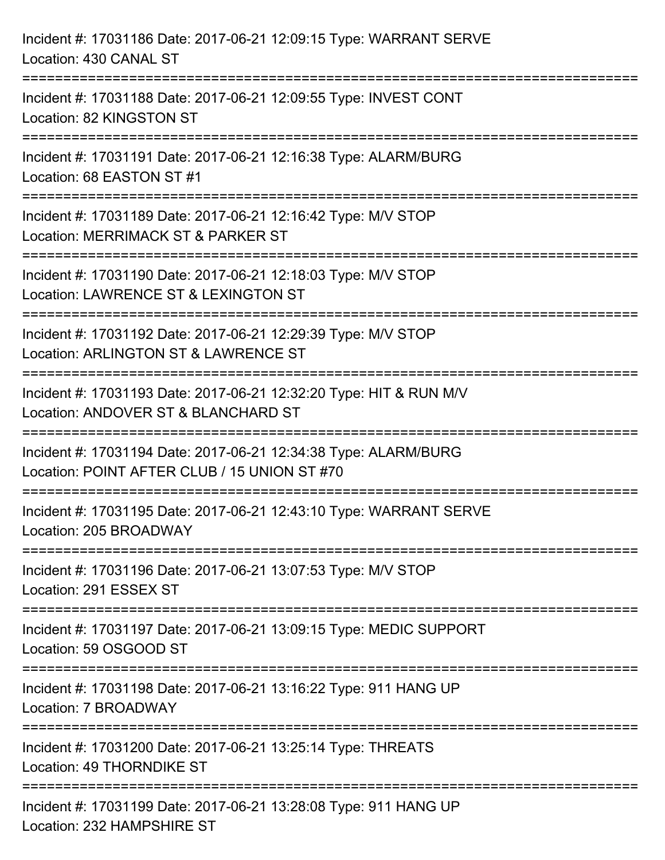| Incident #: 17031186 Date: 2017-06-21 12:09:15 Type: WARRANT SERVE<br>Location: 430 CANAL ST                                                         |
|------------------------------------------------------------------------------------------------------------------------------------------------------|
| Incident #: 17031188 Date: 2017-06-21 12:09:55 Type: INVEST CONT<br>Location: 82 KINGSTON ST                                                         |
| Incident #: 17031191 Date: 2017-06-21 12:16:38 Type: ALARM/BURG<br>Location: 68 EASTON ST #1                                                         |
| Incident #: 17031189 Date: 2017-06-21 12:16:42 Type: M/V STOP<br>Location: MERRIMACK ST & PARKER ST                                                  |
| Incident #: 17031190 Date: 2017-06-21 12:18:03 Type: M/V STOP<br>Location: LAWRENCE ST & LEXINGTON ST                                                |
| Incident #: 17031192 Date: 2017-06-21 12:29:39 Type: M/V STOP<br>Location: ARLINGTON ST & LAWRENCE ST                                                |
| Incident #: 17031193 Date: 2017-06-21 12:32:20 Type: HIT & RUN M/V<br>Location: ANDOVER ST & BLANCHARD ST<br>==================================      |
| Incident #: 17031194 Date: 2017-06-21 12:34:38 Type: ALARM/BURG<br>Location: POINT AFTER CLUB / 15 UNION ST #70                                      |
| Incident #: 17031195 Date: 2017-06-21 12:43:10 Type: WARRANT SERVE<br>Location: 205 BROADWAY                                                         |
| Incident #: 17031196 Date: 2017-06-21 13:07:53 Type: M/V STOP<br>Location: 291 ESSEX ST                                                              |
| Incident #: 17031197 Date: 2017-06-21 13:09:15 Type: MEDIC SUPPORT<br>Location: 59 OSGOOD ST                                                         |
| ======================<br>==============================<br>Incident #: 17031198 Date: 2017-06-21 13:16:22 Type: 911 HANG UP<br>Location: 7 BROADWAY |
| Incident #: 17031200 Date: 2017-06-21 13:25:14 Type: THREATS<br>Location: 49 THORNDIKE ST                                                            |
| Incident #: 17031199 Date: 2017-06-21 13:28:08 Type: 911 HANG UP<br>Location: 232 HAMPSHIRE ST                                                       |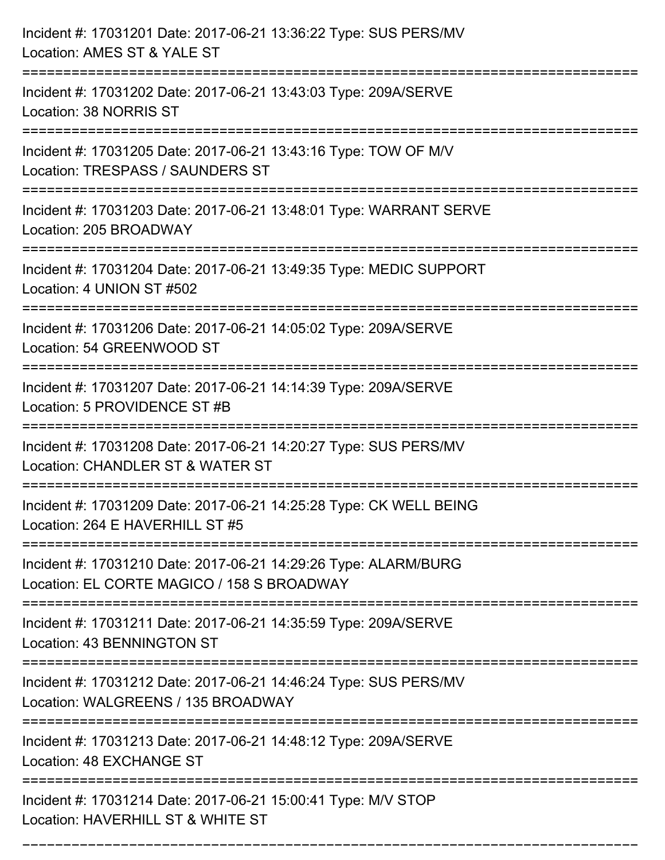| Incident #: 17031201 Date: 2017-06-21 13:36:22 Type: SUS PERS/MV<br>Location: AMES ST & YALE ST               |
|---------------------------------------------------------------------------------------------------------------|
| Incident #: 17031202 Date: 2017-06-21 13:43:03 Type: 209A/SERVE<br>Location: 38 NORRIS ST                     |
| Incident #: 17031205 Date: 2017-06-21 13:43:16 Type: TOW OF M/V<br>Location: TRESPASS / SAUNDERS ST           |
| Incident #: 17031203 Date: 2017-06-21 13:48:01 Type: WARRANT SERVE<br>Location: 205 BROADWAY                  |
| Incident #: 17031204 Date: 2017-06-21 13:49:35 Type: MEDIC SUPPORT<br>Location: 4 UNION ST #502               |
| Incident #: 17031206 Date: 2017-06-21 14:05:02 Type: 209A/SERVE<br>Location: 54 GREENWOOD ST                  |
| Incident #: 17031207 Date: 2017-06-21 14:14:39 Type: 209A/SERVE<br>Location: 5 PROVIDENCE ST #B               |
| Incident #: 17031208 Date: 2017-06-21 14:20:27 Type: SUS PERS/MV<br>Location: CHANDLER ST & WATER ST          |
| Incident #: 17031209 Date: 2017-06-21 14:25:28 Type: CK WELL BEING<br>Location: 264 E HAVERHILL ST #5         |
| Incident #: 17031210 Date: 2017-06-21 14:29:26 Type: ALARM/BURG<br>Location: EL CORTE MAGICO / 158 S BROADWAY |
| Incident #: 17031211 Date: 2017-06-21 14:35:59 Type: 209A/SERVE<br>Location: 43 BENNINGTON ST                 |
| Incident #: 17031212 Date: 2017-06-21 14:46:24 Type: SUS PERS/MV<br>Location: WALGREENS / 135 BROADWAY        |
| Incident #: 17031213 Date: 2017-06-21 14:48:12 Type: 209A/SERVE<br>Location: 48 EXCHANGE ST                   |
| Incident #: 17031214 Date: 2017-06-21 15:00:41 Type: M/V STOP<br>Location: HAVERHILL ST & WHITE ST            |

===========================================================================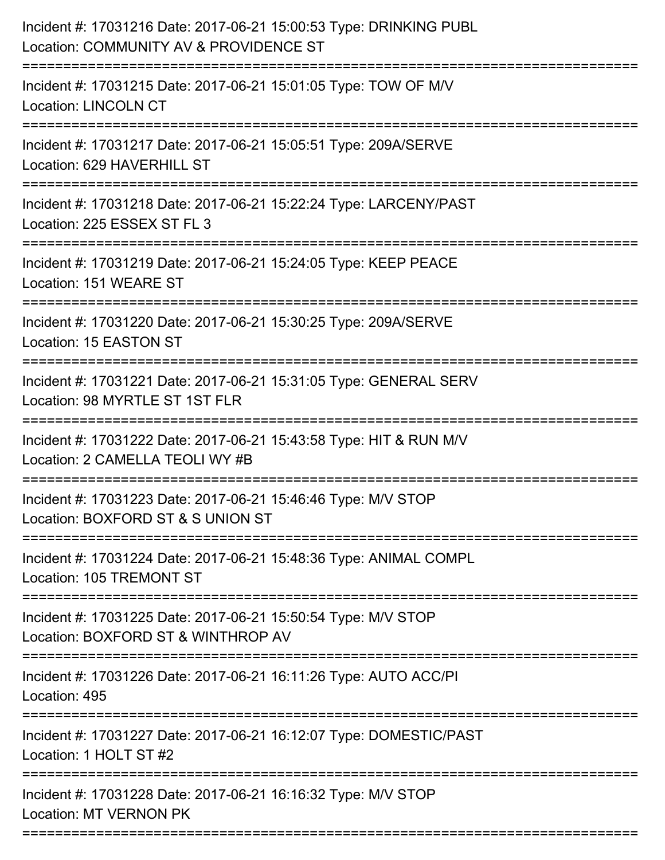| Incident #: 17031216 Date: 2017-06-21 15:00:53 Type: DRINKING PUBL<br>Location: COMMUNITY AV & PROVIDENCE ST |
|--------------------------------------------------------------------------------------------------------------|
| Incident #: 17031215 Date: 2017-06-21 15:01:05 Type: TOW OF M/V<br><b>Location: LINCOLN CT</b>               |
| Incident #: 17031217 Date: 2017-06-21 15:05:51 Type: 209A/SERVE<br>Location: 629 HAVERHILL ST                |
| Incident #: 17031218 Date: 2017-06-21 15:22:24 Type: LARCENY/PAST<br>Location: 225 ESSEX ST FL 3             |
| Incident #: 17031219 Date: 2017-06-21 15:24:05 Type: KEEP PEACE<br>Location: 151 WEARE ST                    |
| Incident #: 17031220 Date: 2017-06-21 15:30:25 Type: 209A/SERVE<br>Location: 15 EASTON ST                    |
| Incident #: 17031221 Date: 2017-06-21 15:31:05 Type: GENERAL SERV<br>Location: 98 MYRTLE ST 1ST FLR          |
| Incident #: 17031222 Date: 2017-06-21 15:43:58 Type: HIT & RUN M/V<br>Location: 2 CAMELLA TEOLI WY #B        |
| Incident #: 17031223 Date: 2017-06-21 15:46:46 Type: M/V STOP<br>Location: BOXFORD ST & S UNION ST           |
| Incident #: 17031224 Date: 2017-06-21 15:48:36 Type: ANIMAL COMPL<br>Location: 105 TREMONT ST                |
| Incident #: 17031225 Date: 2017-06-21 15:50:54 Type: M/V STOP<br>Location: BOXFORD ST & WINTHROP AV          |
| Incident #: 17031226 Date: 2017-06-21 16:11:26 Type: AUTO ACC/PI<br>Location: 495<br>-------------------     |
| Incident #: 17031227 Date: 2017-06-21 16:12:07 Type: DOMESTIC/PAST<br>Location: 1 HOLT ST #2                 |
| Incident #: 17031228 Date: 2017-06-21 16:16:32 Type: M/V STOP<br><b>Location: MT VERNON PK</b>               |
|                                                                                                              |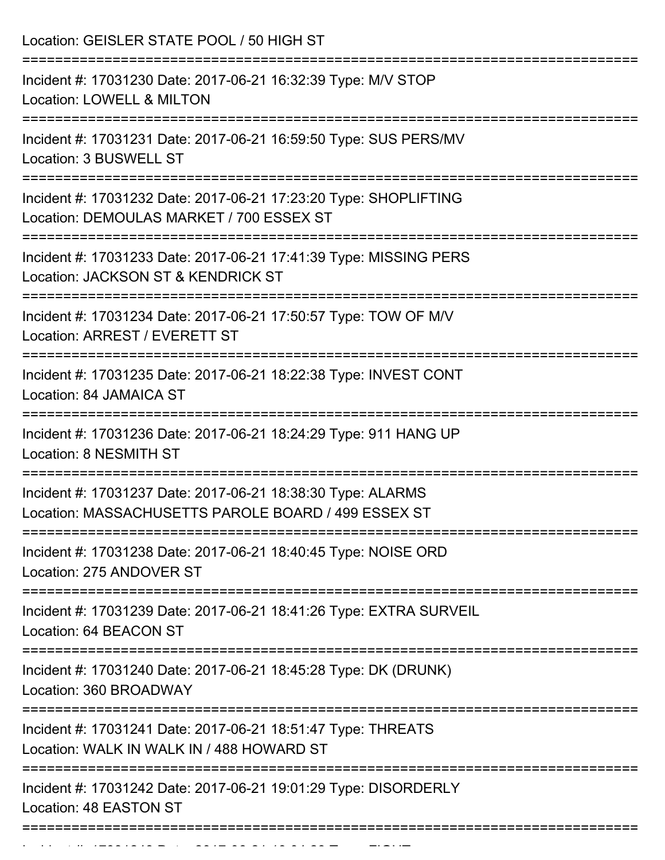| Location: GEISLER STATE POOL / 50 HIGH ST                                                                                                                                             |
|---------------------------------------------------------------------------------------------------------------------------------------------------------------------------------------|
| Incident #: 17031230 Date: 2017-06-21 16:32:39 Type: M/V STOP<br><b>Location: LOWELL &amp; MILTON</b><br>=================================                                            |
| Incident #: 17031231 Date: 2017-06-21 16:59:50 Type: SUS PERS/MV<br>Location: 3 BUSWELL ST                                                                                            |
| Incident #: 17031232 Date: 2017-06-21 17:23:20 Type: SHOPLIFTING<br>Location: DEMOULAS MARKET / 700 ESSEX ST<br>===============================<br>================================== |
| Incident #: 17031233 Date: 2017-06-21 17:41:39 Type: MISSING PERS<br>Location: JACKSON ST & KENDRICK ST                                                                               |
| Incident #: 17031234 Date: 2017-06-21 17:50:57 Type: TOW OF M/V<br>Location: ARREST / EVERETT ST                                                                                      |
| Incident #: 17031235 Date: 2017-06-21 18:22:38 Type: INVEST CONT<br>Location: 84 JAMAICA ST                                                                                           |
| Incident #: 17031236 Date: 2017-06-21 18:24:29 Type: 911 HANG UP<br>Location: 8 NESMITH ST                                                                                            |
| Incident #: 17031237 Date: 2017-06-21 18:38:30 Type: ALARMS<br>Location: MASSACHUSETTS PAROLE BOARD / 499 ESSEX ST                                                                    |
| Incident #: 17031238 Date: 2017-06-21 18:40:45 Type: NOISE ORD<br>Location: 275 ANDOVER ST                                                                                            |
| Incident #: 17031239 Date: 2017-06-21 18:41:26 Type: EXTRA SURVEIL<br>Location: 64 BEACON ST                                                                                          |
| Incident #: 17031240 Date: 2017-06-21 18:45:28 Type: DK (DRUNK)<br>Location: 360 BROADWAY                                                                                             |
| Incident #: 17031241 Date: 2017-06-21 18:51:47 Type: THREATS<br>Location: WALK IN WALK IN / 488 HOWARD ST                                                                             |
| Incident #: 17031242 Date: 2017-06-21 19:01:29 Type: DISORDERLY<br>Location: 48 EASTON ST                                                                                             |
|                                                                                                                                                                                       |

Incident #: 17031243 Date: 2017 06 21 19:04:23 Type: FIGHT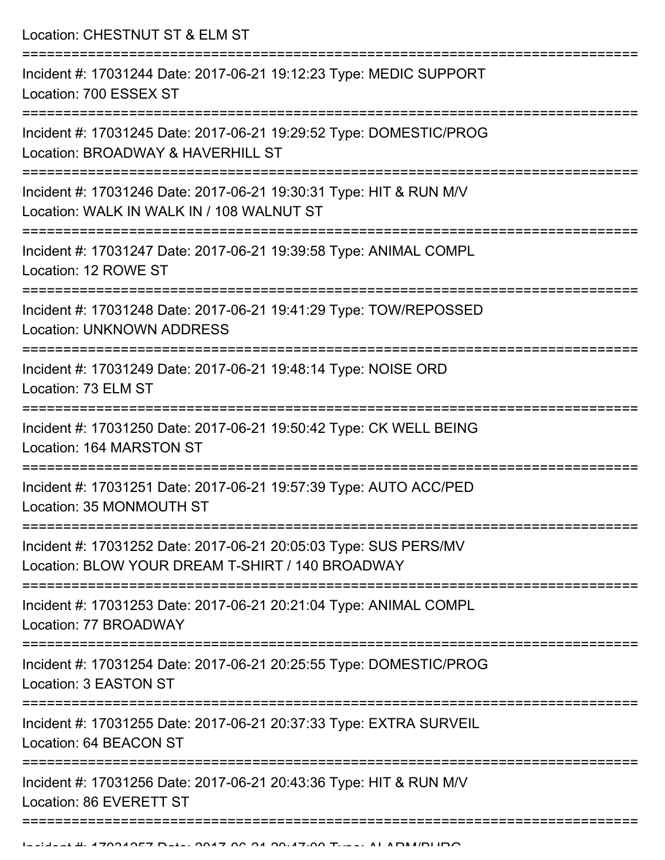Location: CHESTNUT ST & ELM ST =========================================================================== Incident #: 17031244 Date: 2017-06-21 19:12:23 Type: MEDIC SUPPORT Location: 700 ESSEX ST =========================================================================== Incident #: 17031245 Date: 2017-06-21 19:29:52 Type: DOMESTIC/PROG Location: BROADWAY & HAVERHILL ST =========================================================================== Incident #: 17031246 Date: 2017-06-21 19:30:31 Type: HIT & RUN M/V Location: WALK IN WALK IN / 108 WALNUT ST =========================================================================== Incident #: 17031247 Date: 2017-06-21 19:39:58 Type: ANIMAL COMPL Location: 12 ROWE ST =========================================================================== Incident #: 17031248 Date: 2017-06-21 19:41:29 Type: TOW/REPOSSED Location: UNKNOWN ADDRESS =========================================================================== Incident #: 17031249 Date: 2017-06-21 19:48:14 Type: NOISE ORD Location: 73 ELM ST =========================================================================== Incident #: 17031250 Date: 2017-06-21 19:50:42 Type: CK WELL BEING Location: 164 MARSTON ST =========================================================================== Incident #: 17031251 Date: 2017-06-21 19:57:39 Type: AUTO ACC/PED Location: 35 MONMOUTH ST =========================================================================== Incident #: 17031252 Date: 2017-06-21 20:05:03 Type: SUS PERS/MV Location: BLOW YOUR DREAM T-SHIRT / 140 BROADWAY =========================================================================== Incident #: 17031253 Date: 2017-06-21 20:21:04 Type: ANIMAL COMPL Location: 77 BROADWAY =========================================================================== Incident #: 17031254 Date: 2017-06-21 20:25:55 Type: DOMESTIC/PROG Location: 3 EASTON ST =========================================================================== Incident #: 17031255 Date: 2017-06-21 20:37:33 Type: EXTRA SURVEIL Location: 64 BEACON ST =========================================================================== Incident #: 17031256 Date: 2017-06-21 20:43:36 Type: HIT & RUN M/V Location: 86 EVERETT ST

=============================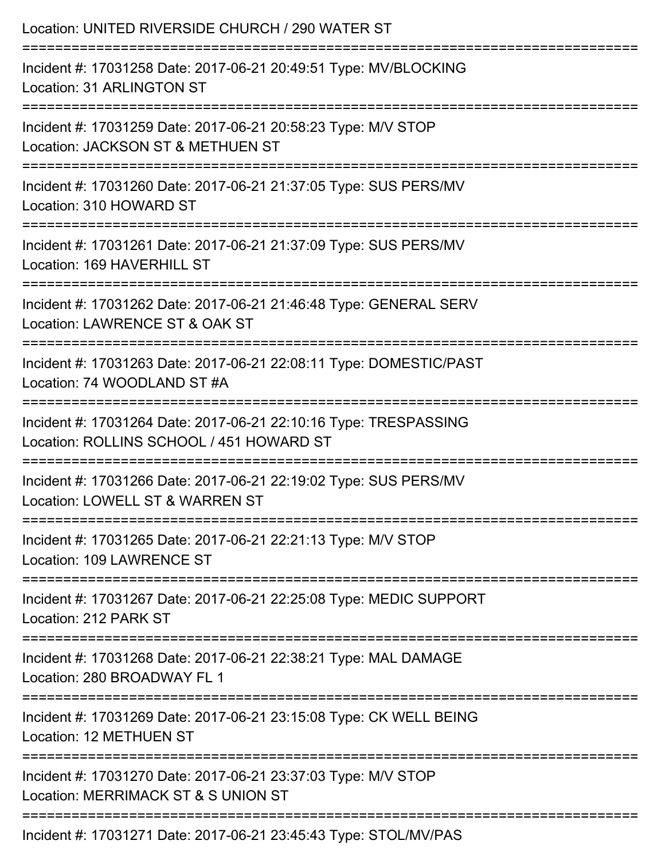| Location: UNITED RIVERSIDE CHURCH / 290 WATER ST                                                                             |
|------------------------------------------------------------------------------------------------------------------------------|
| Incident #: 17031258 Date: 2017-06-21 20:49:51 Type: MV/BLOCKING<br>Location: 31 ARLINGTON ST                                |
| Incident #: 17031259 Date: 2017-06-21 20:58:23 Type: M/V STOP<br>Location: JACKSON ST & METHUEN ST                           |
| Incident #: 17031260 Date: 2017-06-21 21:37:05 Type: SUS PERS/MV<br>Location: 310 HOWARD ST                                  |
| Incident #: 17031261 Date: 2017-06-21 21:37:09 Type: SUS PERS/MV<br>Location: 169 HAVERHILL ST                               |
| Incident #: 17031262 Date: 2017-06-21 21:46:48 Type: GENERAL SERV<br>Location: LAWRENCE ST & OAK ST                          |
| Incident #: 17031263 Date: 2017-06-21 22:08:11 Type: DOMESTIC/PAST<br>Location: 74 WOODLAND ST #A                            |
| Incident #: 17031264 Date: 2017-06-21 22:10:16 Type: TRESPASSING<br>Location: ROLLINS SCHOOL / 451 HOWARD ST                 |
| =============<br>Incident #: 17031266 Date: 2017-06-21 22:19:02 Type: SUS PERS/MV<br>Location: LOWELL ST & WARREN ST         |
| ------------------------------<br>Incident #: 17031265 Date: 2017-06-21 22:21:13 Type: M/V STOP<br>Location: 109 LAWRENCE ST |
| Incident #: 17031267 Date: 2017-06-21 22:25:08 Type: MEDIC SUPPORT<br>Location: 212 PARK ST                                  |
| Incident #: 17031268 Date: 2017-06-21 22:38:21 Type: MAL DAMAGE<br>Location: 280 BROADWAY FL 1                               |
| Incident #: 17031269 Date: 2017-06-21 23:15:08 Type: CK WELL BEING<br>Location: 12 METHUEN ST                                |
| Incident #: 17031270 Date: 2017-06-21 23:37:03 Type: M/V STOP<br>Location: MERRIMACK ST & S UNION ST                         |
| Incident #: 17031271 Date: 2017-06-21 23:45:43 Type: STOL/MV/PAS                                                             |